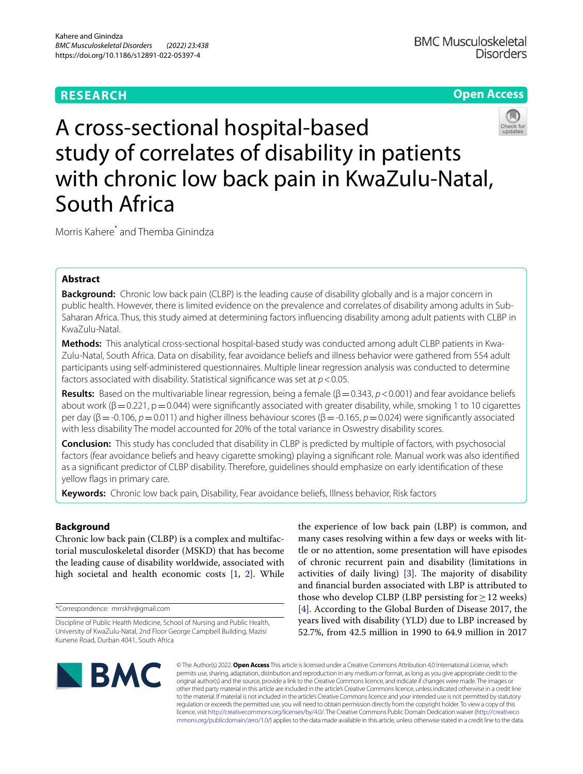# **RESEARCH**

## **Open Access**



A cross-sectional hospital-based study of correlates of disability in patients with chronic low back pain in KwaZulu-Natal, South Africa

Morris Kahere\* and Themba Ginindza

## **Abstract**

**Background:** Chronic low back pain (CLBP) is the leading cause of disability globally and is a major concern in public health. However, there is limited evidence on the prevalence and correlates of disability among adults in Sub-Saharan Africa. Thus, this study aimed at determining factors infuencing disability among adult patients with CLBP in KwaZulu-Natal.

**Methods:** This analytical cross-sectional hospital-based study was conducted among adult CLBP patients in Kwa-Zulu-Natal, South Africa. Data on disability, fear avoidance beliefs and illness behavior were gathered from 554 adult participants using self-administered questionnaires. Multiple linear regression analysis was conducted to determine factors associated with disability. Statistical signifcance was set at *p*<0.05.

**Results:** Based on the multivariable linear regression, being a female  $(\beta = 0.343, p < 0.001)$  and fear avoidance beliefs about work ( $\beta$  = 0.221, p = 0.044) were significantly associated with greater disability, while, smoking 1 to 10 cigarettes per day (β=-0.106, *p*=0.011) and higher illness behaviour scores (β=-0.165, *p*=0.024) were signifcantly associated with less disability The model accounted for 20% of the total variance in Oswestry disability scores.

**Conclusion:** This study has concluded that disability in CLBP is predicted by multiple of factors, with psychosocial factors (fear avoidance beliefs and heavy cigarette smoking) playing a signifcant role. Manual work was also identifed as a signifcant predictor of CLBP disability. Therefore, guidelines should emphasize on early identifcation of these yellow flags in primary care.

**Keywords:** Chronic low back pain, Disability, Fear avoidance beliefs, Illness behavior, Risk factors

## **Background**

Chronic low back pain (CLBP) is a complex and multifactorial musculoskeletal disorder (MSKD) that has become the leading cause of disability worldwide, associated with high societal and health economic costs [[1,](#page-10-0) [2](#page-10-1)]. While

\*Correspondence: mrrskhr@gmail.com

the experience of low back pain (LBP) is common, and many cases resolving within a few days or weeks with little or no attention, some presentation will have episodes of chronic recurrent pain and disability (limitations in activities of daily living)  $[3]$  $[3]$  $[3]$ . The majority of disability and fnancial burden associated with LBP is attributed to those who develop CLBP (LBP persisting for  $\geq$  12 weeks) [[4\]](#page-10-3). According to the Global Burden of Disease 2017, the years lived with disability (YLD) due to LBP increased by 52.7%, from 42.5 million in 1990 to 64.9 million in 2017



© The Author(s) 2022. **Open Access** This article is licensed under a Creative Commons Attribution 4.0 International License, which permits use, sharing, adaptation, distribution and reproduction in any medium or format, as long as you give appropriate credit to the original author(s) and the source, provide a link to the Creative Commons licence, and indicate if changes were made. The images or other third party material in this article are included in the article's Creative Commons licence, unless indicated otherwise in a credit line to the material. If material is not included in the article's Creative Commons licence and your intended use is not permitted by statutory regulation or exceeds the permitted use, you will need to obtain permission directly from the copyright holder. To view a copy of this licence, visit [http://creativecommons.org/licenses/by/4.0/.](http://creativecommons.org/licenses/by/4.0/) The Creative Commons Public Domain Dedication waiver ([http://creativeco](http://creativecommons.org/publicdomain/zero/1.0/) [mmons.org/publicdomain/zero/1.0/](http://creativecommons.org/publicdomain/zero/1.0/)) applies to the data made available in this article, unless otherwise stated in a credit line to the data.

Discipline of Public Health Medicine, School of Nursing and Public Health, University of KwaZulu-Natal, 2nd Floor George Campbell Building, Mazisi Kunene Road, Durban 4041, South Africa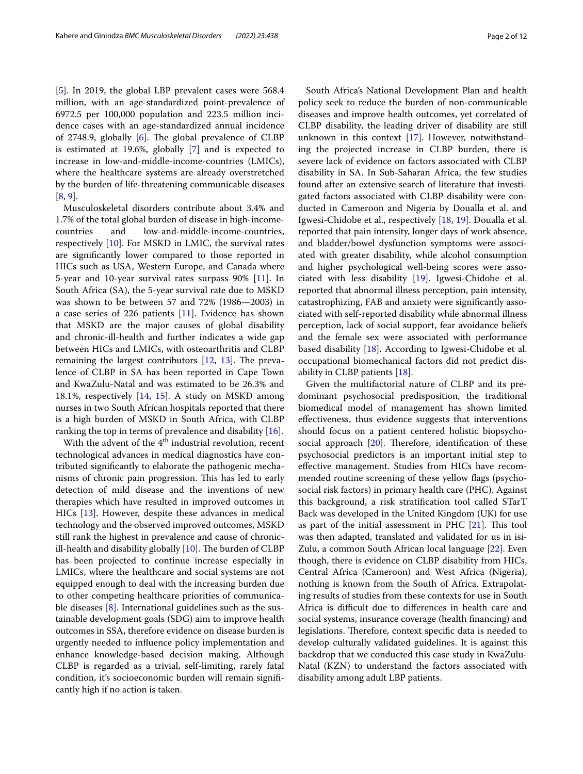[[5\]](#page-10-4). In 2019, the global LBP prevalent cases were 568.4 million, with an age-standardized point-prevalence of 6972.5 per 100,000 population and 223.5 million incidence cases with an age-standardized annual incidence of 2748.9, globally [\[6\]](#page-10-5). The global prevalence of CLBP is estimated at 19.6%, globally [\[7](#page-10-6)] and is expected to increase in low-and-middle-income-countries (LMICs), where the healthcare systems are already overstretched by the burden of life-threatening communicable diseases [[8,](#page-10-7) [9](#page-10-8)].

Musculoskeletal disorders contribute about 3.4% and 1.7% of the total global burden of disease in high-incomecountries and low-and-middle-income-countries, respectively [\[10](#page-10-9)]. For MSKD in LMIC, the survival rates are signifcantly lower compared to those reported in HICs such as USA, Western Europe, and Canada where 5-year and 10-year survival rates surpass 90% [\[11\]](#page-10-10). In South Africa (SA), the 5-year survival rate due to MSKD was shown to be between 57 and 72% (1986—2003) in a case series of 226 patients [[11](#page-10-10)]. Evidence has shown that MSKD are the major causes of global disability and chronic-ill-health and further indicates a wide gap between HICs and LMICs, with osteoarthritis and CLBP remaining the largest contributors  $[12, 13]$  $[12, 13]$  $[12, 13]$  $[12, 13]$ . The prevalence of CLBP in SA has been reported in Cape Town and KwaZulu-Natal and was estimated to be 26.3% and 18.1%, respectively [[14](#page-10-13), [15\]](#page-10-14). A study on MSKD among nurses in two South African hospitals reported that there is a high burden of MSKD in South Africa, with CLBP ranking the top in terms of prevalence and disability [\[16](#page-10-15)].

With the advent of the  $4<sup>th</sup>$  industrial revolution, recent technological advances in medical diagnostics have contributed signifcantly to elaborate the pathogenic mechanisms of chronic pain progression. This has led to early detection of mild disease and the inventions of new therapies which have resulted in improved outcomes in HICs [\[13](#page-10-12)]. However, despite these advances in medical technology and the observed improved outcomes, MSKD still rank the highest in prevalence and cause of chronicill-health and disability globally  $[10]$  $[10]$  $[10]$ . The burden of CLBP has been projected to continue increase especially in LMICs, where the healthcare and social systems are not equipped enough to deal with the increasing burden due to other competing healthcare priorities of communicable diseases [[8\]](#page-10-7). International guidelines such as the sustainable development goals (SDG) aim to improve health outcomes in SSA, therefore evidence on disease burden is urgently needed to infuence policy implementation and enhance knowledge-based decision making. Although CLBP is regarded as a trivial, self-limiting, rarely fatal condition, it's socioeconomic burden will remain signifcantly high if no action is taken.

South Africa's National Development Plan and health policy seek to reduce the burden of non-communicable diseases and improve health outcomes, yet correlated of CLBP disability, the leading driver of disability are still unknown in this context [[17\]](#page-11-0). However, notwithstanding the projected increase in CLBP burden, there is severe lack of evidence on factors associated with CLBP disability in SA. In Sub-Saharan Africa, the few studies found after an extensive search of literature that investigated factors associated with CLBP disability were conducted in Cameroon and Nigeria by Doualla et al. and Igwesi-Chidobe et al., respectively [\[18](#page-11-1), [19\]](#page-11-2). Doualla et al. reported that pain intensity, longer days of work absence, and bladder/bowel dysfunction symptoms were associated with greater disability, while alcohol consumption and higher psychological well-being scores were associated with less disability [[19\]](#page-11-2). Igwesi-Chidobe et al. reported that abnormal illness perception, pain intensity, catastrophizing, FAB and anxiety were signifcantly associated with self-reported disability while abnormal illness perception, lack of social support, fear avoidance beliefs and the female sex were associated with performance based disability [[18\]](#page-11-1). According to Igwesi-Chidobe et al. occupational biomechanical factors did not predict disability in CLBP patients [[18\]](#page-11-1).

Given the multifactorial nature of CLBP and its predominant psychosocial predisposition, the traditional biomedical model of management has shown limited efectiveness, thus evidence suggests that interventions should focus on a patient centered holistic biopsychosocial approach  $[20]$  $[20]$ . Therefore, identification of these psychosocial predictors is an important initial step to efective management. Studies from HICs have recommended routine screening of these yellow fags (psychosocial risk factors) in primary health care (PHC). Against this background, a risk stratifcation tool called STarT Back was developed in the United Kingdom (UK) for use as part of the initial assessment in PHC  $[21]$ . This tool was then adapted, translated and validated for us in isi-Zulu, a common South African local language [[22\]](#page-11-5). Even though, there is evidence on CLBP disability from HICs, Central Africa (Cameroon) and West Africa (Nigeria), nothing is known from the South of Africa. Extrapolating results of studies from these contexts for use in South Africa is difficult due to differences in health care and social systems, insurance coverage (health fnancing) and legislations. Therefore, context specific data is needed to develop culturally validated guidelines. It is against this backdrop that we conducted this case study in KwaZulu-Natal (KZN) to understand the factors associated with disability among adult LBP patients.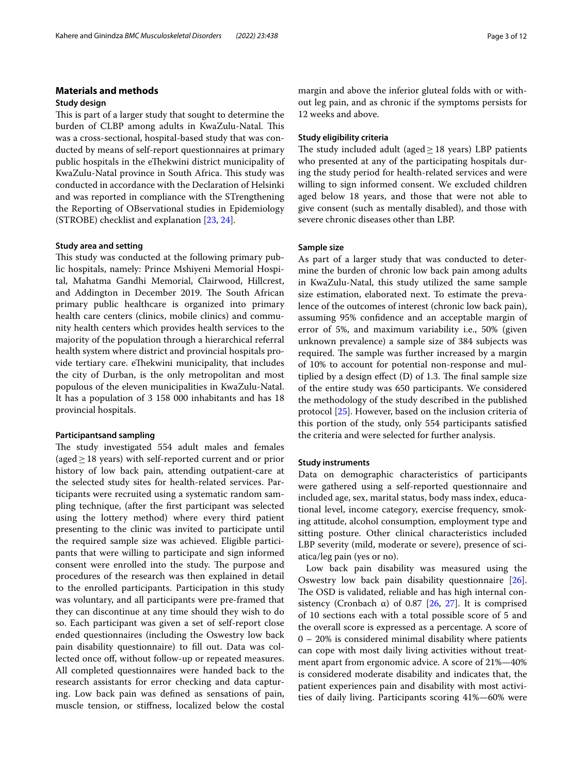## **Materials and methods**

#### **Study design**

This is part of a larger study that sought to determine the burden of CLBP among adults in KwaZulu-Natal. This was a cross-sectional, hospital-based study that was conducted by means of self-report questionnaires at primary public hospitals in the eThekwini district municipality of KwaZulu-Natal province in South Africa. This study was conducted in accordance with the Declaration of Helsinki and was reported in compliance with the STrengthening the Reporting of OBservational studies in Epidemiology (STROBE) checklist and explanation [\[23,](#page-11-6) [24](#page-11-7)].

### **Study area and setting**

This study was conducted at the following primary public hospitals, namely: Prince Mshiyeni Memorial Hospital, Mahatma Gandhi Memorial, Clairwood, Hillcrest, and Addington in December 2019. The South African primary public healthcare is organized into primary health care centers (clinics, mobile clinics) and community health centers which provides health services to the majority of the population through a hierarchical referral health system where district and provincial hospitals provide tertiary care. eThekwini municipality, that includes the city of Durban, is the only metropolitan and most populous of the eleven municipalities in KwaZulu-Natal. It has a population of 3 158 000 inhabitants and has 18 provincial hospitals.

#### **Participantsand sampling**

The study investigated 554 adult males and females (aged≥18 years) with self-reported current and or prior history of low back pain, attending outpatient-care at the selected study sites for health-related services. Participants were recruited using a systematic random sampling technique, (after the frst participant was selected using the lottery method) where every third patient presenting to the clinic was invited to participate until the required sample size was achieved. Eligible participants that were willing to participate and sign informed consent were enrolled into the study. The purpose and procedures of the research was then explained in detail to the enrolled participants. Participation in this study was voluntary, and all participants were pre-framed that they can discontinue at any time should they wish to do so. Each participant was given a set of self-report close ended questionnaires (including the Oswestry low back pain disability questionnaire) to fll out. Data was collected once off, without follow-up or repeated measures. All completed questionnaires were handed back to the research assistants for error checking and data capturing. Low back pain was defned as sensations of pain, muscle tension, or stifness, localized below the costal margin and above the inferior gluteal folds with or without leg pain, and as chronic if the symptoms persists for 12 weeks and above.

## **Study eligibility criteria**

The study included adult (aged $\geq$  18 years) LBP patients who presented at any of the participating hospitals during the study period for health-related services and were willing to sign informed consent. We excluded children aged below 18 years, and those that were not able to give consent (such as mentally disabled), and those with severe chronic diseases other than LBP.

### **Sample size**

As part of a larger study that was conducted to determine the burden of chronic low back pain among adults in KwaZulu-Natal, this study utilized the same sample size estimation, elaborated next. To estimate the prevalence of the outcomes of interest (chronic low back pain), assuming 95% confdence and an acceptable margin of error of 5%, and maximum variability i.e., 50% (given unknown prevalence) a sample size of 384 subjects was required. The sample was further increased by a margin of 10% to account for potential non-response and multiplied by a design effect  $(D)$  of 1.3. The final sample size of the entire study was 650 participants. We considered the methodology of the study described in the published protocol [\[25\]](#page-11-8). However, based on the inclusion criteria of this portion of the study, only 554 participants satisfed the criteria and were selected for further analysis.

#### **Study instruments**

Data on demographic characteristics of participants were gathered using a self-reported questionnaire and included age, sex, marital status, body mass index, educational level, income category, exercise frequency, smoking attitude, alcohol consumption, employment type and sitting posture. Other clinical characteristics included LBP severity (mild, moderate or severe), presence of sciatica/leg pain (yes or no).

Low back pain disability was measured using the Oswestry low back pain disability questionnaire [\[26](#page-11-9)]. The OSD is validated, reliable and has high internal consistency (Cronbach  $\alpha$ ) of 0.87 [[26](#page-11-9), [27\]](#page-11-10). It is comprised of 10 sections each with a total possible score of 5 and the overall score is expressed as a percentage. A score of 0 – 20% is considered minimal disability where patients can cope with most daily living activities without treatment apart from ergonomic advice. A score of 21%—40% is considered moderate disability and indicates that, the patient experiences pain and disability with most activities of daily living. Participants scoring 41%—60% were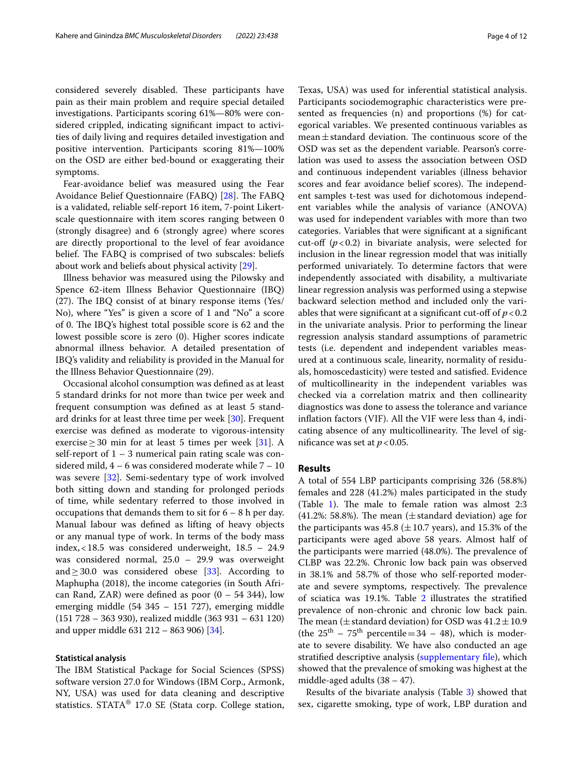considered severely disabled. These participants have pain as their main problem and require special detailed investigations. Participants scoring 61%—80% were considered crippled, indicating signifcant impact to activities of daily living and requires detailed investigation and positive intervention. Participants scoring 81%—100% on the OSD are either bed-bound or exaggerating their symptoms.

Fear-avoidance belief was measured using the Fear Avoidance Belief Questionnaire (FABQ) [\[28](#page-11-11)]. The FABQ is a validated, reliable self-report 16 item, 7-point Likertscale questionnaire with item scores ranging between 0 (strongly disagree) and 6 (strongly agree) where scores are directly proportional to the level of fear avoidance belief. The FABQ is comprised of two subscales: beliefs about work and beliefs about physical activity [[29\]](#page-11-12).

Illness behavior was measured using the Pilowsky and Spence 62-item Illness Behavior Questionnaire (IBQ)  $(27)$ . The IBQ consist of at binary response items (Yes/ No), where "Yes" is given a score of 1 and "No" a score of 0. The IBQ's highest total possible score is 62 and the lowest possible score is zero (0). Higher scores indicate abnormal illness behavior. A detailed presentation of IBQ's validity and reliability is provided in the Manual for the Illness Behavior Questionnaire (29).

Occasional alcohol consumption was defned as at least 5 standard drinks for not more than twice per week and frequent consumption was defned as at least 5 standard drinks for at least three time per week [[30\]](#page-11-13). Frequent exercise was defned as moderate to vigorous-intensity exercise  $\geq$  30 min for at least 5 times per week [\[31](#page-11-14)]. A self-report of  $1 - 3$  numerical pain rating scale was considered mild, 4 – 6 was considered moderate while 7 – 10 was severe [\[32](#page-11-15)]. Semi-sedentary type of work involved both sitting down and standing for prolonged periods of time, while sedentary referred to those involved in occupations that demands them to sit for 6 – 8 h per day. Manual labour was defned as lifting of heavy objects or any manual type of work. In terms of the body mass index,<18.5 was considered underweight, 18.5 – 24.9 was considered normal, 25.0 – 29.9 was overweight and  $\geq$  30.0 was considered obese [\[33](#page-11-16)]. According to Maphupha (2018), the income categories (in South African Rand, ZAR) were defined as poor  $(0 - 54 344)$ , low emerging middle (54 345 – 151 727), emerging middle (151 728 – 363 930), realized middle (363 931 – 631 120) and upper middle 631 212 – 863 906) [\[34](#page-11-17)].

#### **Statistical analysis**

The IBM Statistical Package for Social Sciences (SPSS) software version 27.0 for Windows (IBM Corp., Armonk, NY, USA) was used for data cleaning and descriptive statistics. STATA® 17.0 SE (Stata corp. College station,

Texas, USA) was used for inferential statistical analysis. Participants sociodemographic characteristics were presented as frequencies (n) and proportions (%) for categorical variables. We presented continuous variables as  $mean \pm$  standard deviation. The continuous score of the OSD was set as the dependent variable. Pearson's correlation was used to assess the association between OSD and continuous independent variables (illness behavior scores and fear avoidance belief scores). The independent samples t-test was used for dichotomous independent variables while the analysis of variance (ANOVA) was used for independent variables with more than two categories. Variables that were signifcant at a signifcant cut-off  $(p<0.2)$  in bivariate analysis, were selected for inclusion in the linear regression model that was initially performed univariately. To determine factors that were independently associated with disability, a multivariate linear regression analysis was performed using a stepwise backward selection method and included only the variables that were significant at a significant cut-off of  $p < 0.2$ in the univariate analysis. Prior to performing the linear regression analysis standard assumptions of parametric tests (i.e. dependent and independent variables measured at a continuous scale, linearity, normality of residuals, homoscedasticity) were tested and satisfed. Evidence of multicollinearity in the independent variables was checked via a correlation matrix and then collinearity diagnostics was done to assess the tolerance and variance infation factors (VIF). All the VIF were less than 4, indicating absence of any multicollinearity. The level of significance was set at  $p < 0.05$ .

### **Results**

A total of 554 LBP participants comprising 326 (58.8%) females and 228 (41.2%) males participated in the study (Table [1\)](#page-4-0). The male to female ration was almost  $2:3$ (41.2%: 58.8%). The mean ( $\pm$  standard deviation) age for the participants was  $45.8 \ (\pm 10.7 \ \text{years})$ , and  $15.3\%$  of the participants were aged above 58 years. Almost half of the participants were married (48.0%). The prevalence of CLBP was 22.2%. Chronic low back pain was observed in 38.1% and 58.7% of those who self-reported moderate and severe symptoms, respectively. The prevalence of sciatica was 19.1%. Table [2](#page-5-0) illustrates the stratifed prevalence of non-chronic and chronic low back pain. The mean ( $\pm$  standard deviation) for OSD was  $41.2 \pm 10.9$ (the  $25<sup>th</sup> - 75<sup>th</sup>$  percentile = 34 – 48), which is moderate to severe disability. We have also conducted an age stratified descriptive analysis (supplementary file), which showed that the prevalence of smoking was highest at the middle-aged adults  $(38 – 47)$ .

Results of the bivariate analysis (Table [3](#page-6-0)) showed that sex, cigarette smoking, type of work, LBP duration and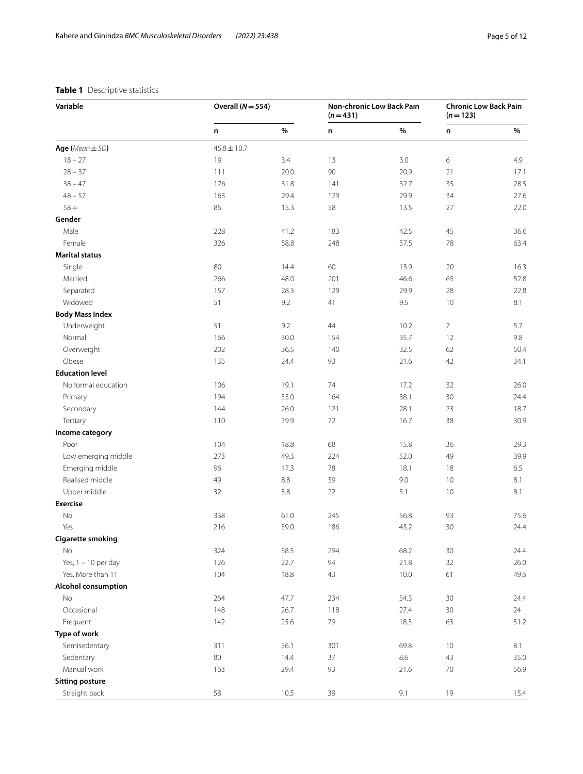## <span id="page-4-0"></span>**Table 1** Descriptive statistics

| Variable                   | Overall $(N = 554)$ |      | Non-chronic Low Back Pain<br>$(n=431)$ |         | <b>Chronic Low Back Pain</b><br>$(n=123)$ |      |
|----------------------------|---------------------|------|----------------------------------------|---------|-------------------------------------------|------|
|                            | n                   | %    | n                                      | %       | n                                         | %    |
| Age (Mean $\pm$ SD)        | $45.8 \pm 10.7$     |      |                                        |         |                                           |      |
| $18 - 27$                  | 19                  | 3.4  | 13                                     | 3.0     | 6                                         | 4.9  |
| $28 - 37$                  | 111                 | 20.0 | $90\,$                                 | 20.9    | 21                                        | 17.1 |
| $38 - 47$                  | 176                 | 31.8 | 141                                    | 32.7    | 35                                        | 28.5 |
| $48 - 57$                  | 163                 | 29.4 | 129                                    | 29.9    | 34                                        | 27.6 |
| $58 +$                     | 85                  | 15.3 | 58                                     | 13.5    | 27                                        | 22.0 |
| Gender                     |                     |      |                                        |         |                                           |      |
| Male                       | 228                 | 41.2 | 183                                    | 42.5    | 45                                        | 36.6 |
| Female                     | 326                 | 58.8 | 248                                    | 57.5    | 78                                        | 63.4 |
| <b>Marital status</b>      |                     |      |                                        |         |                                           |      |
| Single                     | 80                  | 14.4 | 60                                     | 13.9    | 20                                        | 16.3 |
| Married                    | 266                 | 48.0 | 201                                    | 46.6    | 65                                        | 52.8 |
| Separated                  | 157                 | 28.3 | 129                                    | 29.9    | 28                                        | 22.8 |
| Widowed                    | 51                  | 9.2  | 41                                     | 9.5     | 10                                        | 8.1  |
| <b>Body Mass Index</b>     |                     |      |                                        |         |                                           |      |
| Underweight                | 51                  | 9.2  | 44                                     | 10.2    | 7                                         | 5.7  |
| Normal                     | 166                 | 30.0 | 154                                    | 35.7    | 12                                        | 9.8  |
| Overweight                 | 202                 | 36.5 | 140                                    | 32.5    | 62                                        | 50.4 |
| Obese                      | 135                 | 24.4 | 93                                     | 21.6    | 42                                        | 34.1 |
| <b>Education level</b>     |                     |      |                                        |         |                                           |      |
| No formal education        | 106                 | 19.1 | 74                                     | 17.2    | 32                                        | 26.0 |
| Primary                    | 194                 | 35.0 | 164                                    | 38.1    | 30                                        | 24.4 |
| Secondary                  | 144                 | 26.0 | 121                                    | 28.1    | 23                                        | 18.7 |
| Tertiary                   | 110                 | 19.9 | $72\,$                                 | 16.7    | 38                                        | 30.9 |
| Income category            |                     |      |                                        |         |                                           |      |
| Poor                       | 104                 | 18.8 | 68                                     | 15.8    | 36                                        | 29.3 |
| Low emerging middle        | 273                 | 49.3 | 224                                    | 52.0    | 49                                        | 39.9 |
| Emerging middle            | 96                  | 17.3 | 78                                     | 18.1    | 18                                        | 6.5  |
| Realised middle            | 49                  | 8.8  | 39                                     | 9.0     | 10                                        | 8.1  |
| Upper middle               | 32                  | 5.8  | 22                                     | 5.1     | 10                                        | 8.1  |
| <b>Exercise</b>            |                     |      |                                        |         |                                           |      |
| No                         | 338                 | 61.0 | 245                                    | 56.8    | 93                                        | 75.6 |
| Yes                        | 216                 | 39.0 | 186                                    | 43.2    | 30                                        | 24.4 |
| <b>Cigarette smoking</b>   |                     |      |                                        |         |                                           |      |
| No                         | 324                 | 58.5 | 294                                    | 68.2    | 30                                        | 24.4 |
| Yes, $1 - 10$ per day      | 126                 | 22.7 | 94                                     | 21.8    | 32                                        | 26.0 |
| Yes. More than 11          | 104                 | 18.8 | 43                                     | 10.0    | 61                                        | 49.6 |
| <b>Alcohol consumption</b> |                     |      |                                        |         |                                           |      |
|                            |                     |      |                                        |         |                                           |      |
| No                         | 264                 | 47.7 | 234                                    | 54.3    | 30                                        | 24.4 |
| Occasional                 | 148                 | 26.7 | 118                                    | 27.4    | 30                                        | 24   |
| Frequent                   | 142                 | 25.6 | 79                                     | 18.3    | 63                                        | 51.2 |
| Type of work               |                     |      |                                        |         |                                           |      |
| Semisedentary              | 311                 | 56.1 | 301                                    | 69.8    | 10                                        | 8.1  |
| Sedentary                  | $80\,$              | 14.4 | 37                                     | $8.6\,$ | 43                                        | 35.0 |
| Manual work                | 163                 | 29.4 | 93                                     | 21.6    | $70\,$                                    | 56.9 |
| <b>Sitting posture</b>     |                     |      |                                        |         |                                           |      |
| Straight back              | 58                  | 10.5 | 39                                     | 9.1     | 19                                        | 15.4 |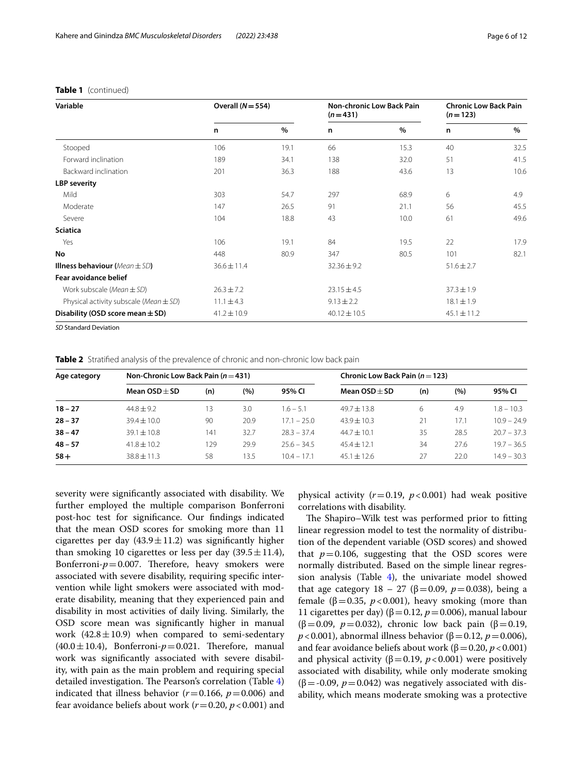## **Table 1** (continued)

| Variable                                                        | Overall $(N = 554)$ |      | <b>Non-chronic Low Back Pain</b><br>$(n=431)$ |      | <b>Chronic Low Back Pain</b><br>$(n=123)$ |      |
|-----------------------------------------------------------------|---------------------|------|-----------------------------------------------|------|-------------------------------------------|------|
|                                                                 | n                   | %    | n                                             | $\%$ | n                                         | $\%$ |
| Stooped                                                         | 106                 | 19.1 | 66                                            | 15.3 | 40                                        | 32.5 |
| Forward inclination                                             | 189                 | 34.1 | 138                                           | 32.0 | 51                                        | 41.5 |
| Backward inclination                                            | 201                 | 36.3 | 188                                           | 43.6 | 13                                        | 10.6 |
| <b>LBP</b> severity                                             |                     |      |                                               |      |                                           |      |
| Mild                                                            | 303                 | 54.7 | 297                                           | 68.9 | 6                                         | 4.9  |
| Moderate                                                        | 147                 | 26.5 | 91                                            | 21.1 | 56                                        | 45.5 |
| Severe                                                          | 104                 | 18.8 | 43                                            | 10.0 | 61                                        | 49.6 |
| <b>Sciatica</b>                                                 |                     |      |                                               |      |                                           |      |
| Yes                                                             | 106                 | 19.1 | 84                                            | 19.5 | 22                                        | 17.9 |
| No                                                              | 448                 | 80.9 | 347                                           | 80.5 | 101                                       | 82.1 |
| <b>Illness behaviour</b> (Mean $\pm$ SD)                        | $36.6 \pm 11.4$     |      | $32.36 \pm 9.2$                               |      | $51.6 \pm 2.7$                            |      |
| <b>Fear avoidance belief</b>                                    |                     |      |                                               |      |                                           |      |
| Work subscale (Mean $\pm$ SD)                                   | $26.3 \pm 7.2$      |      | $23.15 \pm 4.5$                               |      | $37.3 \pm 1.9$                            |      |
| Physical activity subscale (Mean $\pm$ SD)                      | $11.1 \pm 4.3$      |      | $9.13 \pm 2.2$                                |      | $18.1 \pm 1.9$                            |      |
| Disability (OSD score mean $\pm$ SD)                            | $41.2 \pm 10.9$     |      | $40.12 \pm 10.5$                              |      | $45.1 \pm 11.2$                           |      |
| $\mathcal{L} \cap \mathcal{L}$ . $\mathcal{L} \cap \mathcal{L}$ |                     |      |                                               |      |                                           |      |

*SD* Standard Deviation

<span id="page-5-0"></span>**Table 2** Stratified analysis of the prevalence of chronic and non-chronic low back pain

| Age category | Non-Chronic Low Back Pain $(n=431)$ |     |      |               | Chronic Low Back Pain $(n=123)$ |     |      |               |
|--------------|-------------------------------------|-----|------|---------------|---------------------------------|-----|------|---------------|
|              | Mean $OSD + SD$                     | (n) | (%)  | 95% CI        | Mean $OSD + SD$                 | (n) | (%)  | 95% CI        |
| $18 - 27$    | $44.8 + 9.2$                        | 13  | 3.0  | $1.6 - 5.1$   | $49.7 \pm 13.8$                 | 6   | 4.9  | $1.8 - 10.3$  |
| $28 - 37$    | $39.4 \pm 10.0$                     | 90  | 20.9 | $17.1 - 25.0$ | $43.9 \pm 10.3$                 | 21  | 17.1 | $10.9 - 24.9$ |
| $38 - 47$    | $39.1 \pm 10.8$                     | 141 | 32.7 | $283 - 374$   | $44.7 \pm 10.1$                 | 35  | 28.5 | $20.7 - 37.3$ |
| $48 - 57$    | $41.8 \pm 10.2$                     | 129 | 29.9 | $25.6 - 34.5$ | $45.4 \pm 12.1$                 | 34  | 27.6 | $19.7 - 36.5$ |
| $58+$        | $38.8 \pm 11.3$                     | 58  | 13.5 | $10.4 - 17.1$ | $45.1 \pm 12.6$                 | 27  | 22.0 | $14.9 - 30.3$ |

severity were signifcantly associated with disability. We further employed the multiple comparison Bonferroni post-hoc test for signifcance. Our fndings indicated that the mean OSD scores for smoking more than 11 cigarettes per day  $(43.9 \pm 11.2)$  was significantly higher than smoking 10 cigarettes or less per day  $(39.5 \pm 11.4)$ , Bonferroni- $p = 0.007$ . Therefore, heavy smokers were associated with severe disability, requiring specifc intervention while light smokers were associated with moderate disability, meaning that they experienced pain and disability in most activities of daily living. Similarly, the OSD score mean was signifcantly higher in manual work  $(42.8 \pm 10.9)$  when compared to semi-sedentary  $(40.0 \pm 10.4)$ , Bonferroni- $p=0.021$ . Therefore, manual work was signifcantly associated with severe disability, with pain as the main problem and requiring special detailed investigation. The Pearson's correlation (Table  $4$ ) indicated that illness behavior  $(r=0.166, p=0.006)$  and fear avoidance beliefs about work (*r*=0.20, *p*<0.001) and physical activity  $(r=0.19, p<0.001)$  had weak positive correlations with disability.

The Shapiro–Wilk test was performed prior to fitting linear regression model to test the normality of distribution of the dependent variable (OSD scores) and showed that  $p=0.106$ , suggesting that the OSD scores were normally distributed. Based on the simple linear regression analysis (Table  $4$ ), the univariate model showed that age category 18 – 27 (β = 0.09,  $p$  = 0.038), being a female ( $β = 0.35$ ,  $p < 0.001$ ), heavy smoking (more than 11 cigarettes per day) ( $\beta$  = 0.12, *p* = 0.006), manual labour (β=0.09, *p*=0.032), chronic low back pain (β=0.19, *p*<0.001), abnormal illness behavior (β = 0.12, *p* = 0.006), and fear avoidance beliefs about work ( $\beta$  = 0.20, *p* < 0.001) and physical activity ( $β = 0.19$ ,  $p < 0.001$ ) were positively associated with disability, while only moderate smoking  $(\beta = -0.09, p = 0.042)$  was negatively associated with disability, which means moderate smoking was a protective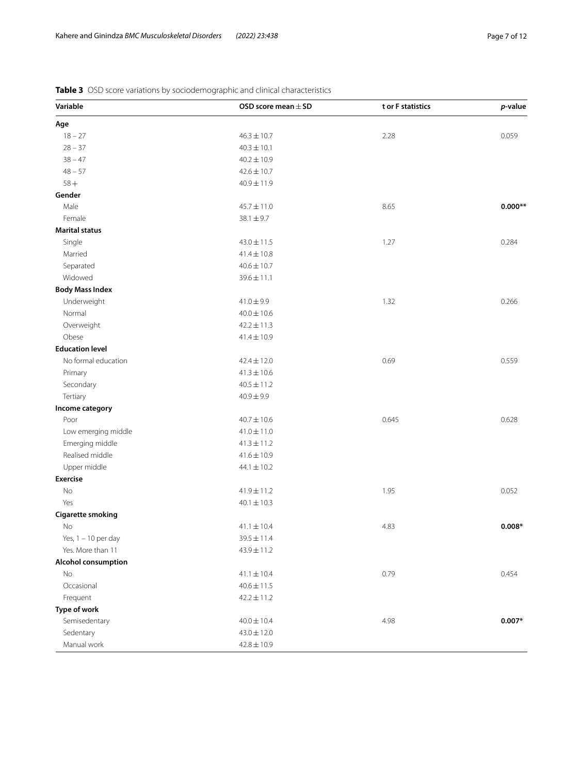| Variable                   | OSD score mean $\pm$ SD | t or F statistics | p-value   |
|----------------------------|-------------------------|-------------------|-----------|
| Age                        |                         |                   |           |
| $18 - 27$                  | $46.3 \pm 10.7$         | 2.28              | 0.059     |
| $28 - 37$                  | $40.3 \pm 10.1$         |                   |           |
| $38 - 47$                  | $40.2 \pm 10.9$         |                   |           |
| $48 - 57$                  | $42.6 \pm 10.7$         |                   |           |
| $58+$                      | $40.9 \pm 11.9$         |                   |           |
| Gender                     |                         |                   |           |
| Male                       | 45.7±11.0               | 8.65              | $0.000**$ |
| Female                     | $38.1 \pm 9.7$          |                   |           |
| <b>Marital status</b>      |                         |                   |           |
| Single                     | $43.0 \pm 11.5$         | 1.27              | 0.284     |
| Married                    | $41.4 \pm 10.8$         |                   |           |
| Separated                  | $40.6 \pm 10.7$         |                   |           |
| Widowed                    | $39.6 \pm 11.1$         |                   |           |
| <b>Body Mass Index</b>     |                         |                   |           |
| Underweight                | $41.0 \pm 9.9$          | 1.32              | 0.266     |
| Normal                     | $40.0 \pm 10.6$         |                   |           |
| Overweight                 | $42.2 \pm 11.3$         |                   |           |
| Obese                      | $41.4 \pm 10.9$         |                   |           |
| <b>Education level</b>     |                         |                   |           |
| No formal education        | $42.4 \pm 12.0$         | 0.69              | 0.559     |
| Primary                    | $41.3 \pm 10.6$         |                   |           |
| Secondary                  | $40.5 \pm 11.2$         |                   |           |
| Tertiary                   | $40.9 \pm 9.9$          |                   |           |
| Income category            |                         |                   |           |
| Poor                       | $40.7 \pm 10.6$         | 0.645             | 0.628     |
| Low emerging middle        | $41.0 \pm 11.0$         |                   |           |
| Emerging middle            | $41.3 \pm 11.2$         |                   |           |
| Realised middle            | $41.6 \pm 10.9$         |                   |           |
| Upper middle               | $44.1 \pm 10.2$         |                   |           |
| <b>Exercise</b>            |                         |                   |           |
| $\rm No$                   | $41.9 \pm 11.2$         | 1.95              | 0.052     |
| Yes                        | $40.1 \pm 10.3$         |                   |           |
| <b>Cigarette smoking</b>   |                         |                   |           |
| No                         | $41.1 \pm 10.4$         | 4.83              | $0.008*$  |
| Yes, $1 - 10$ per day      | $39.5 \pm 11.4$         |                   |           |
| Yes. More than 11          | $43.9 \pm 11.2$         |                   |           |
| <b>Alcohol consumption</b> |                         |                   |           |
| <b>No</b>                  | $41.1 \pm 10.4$         | 0.79              | 0.454     |
| Occasional                 | $40.6 \pm 11.5$         |                   |           |
| Frequent                   | $42.2 \pm 11.2$         |                   |           |
| Type of work               |                         |                   |           |
| Semisedentary              | $40.0 \pm 10.4$         | 4.98              | $0.007*$  |
| Sedentary                  | $43.0 \pm 12.0$         |                   |           |
| Manual work                | $42.8 \pm 10.9$         |                   |           |

<span id="page-6-0"></span>**Table 3** OSD score variations by sociodemographic and clinical characteristics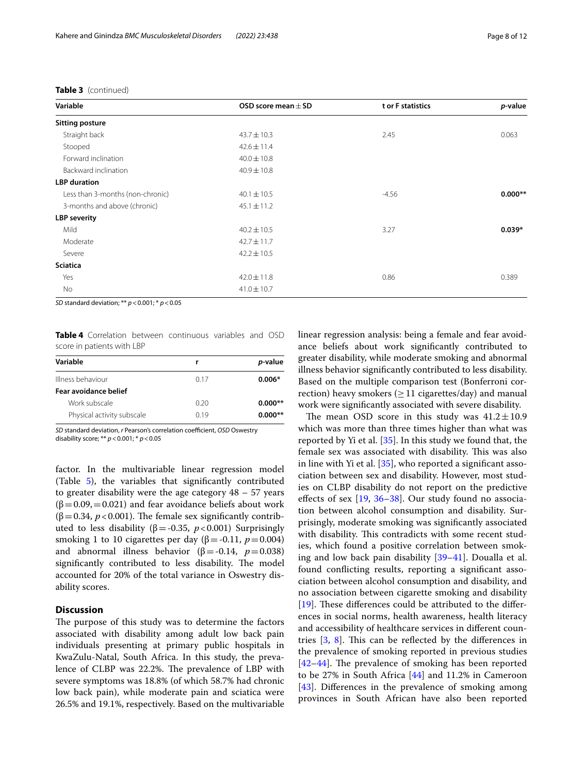## **Table 3** (continued)

| Variable                         | OSD score mean $\pm$ SD | t or F statistics | p-value   |
|----------------------------------|-------------------------|-------------------|-----------|
| <b>Sitting posture</b>           |                         |                   |           |
| Straight back                    | $43.7 \pm 10.3$         | 2.45              | 0.063     |
| Stooped                          | $42.6 \pm 11.4$         |                   |           |
| Forward inclination              | $40.0 \pm 10.8$         |                   |           |
| Backward inclination             | $40.9 \pm 10.8$         |                   |           |
| <b>LBP</b> duration              |                         |                   |           |
| Less than 3-months (non-chronic) | $40.1 \pm 10.5$         | $-4.56$           | $0.000**$ |
| 3-months and above (chronic)     | $45.1 \pm 11.2$         |                   |           |
| <b>LBP</b> severity              |                         |                   |           |
| Mild                             | $40.2 \pm 10.5$         | 3.27              | $0.039*$  |
| Moderate                         | $42.7 \pm 11.7$         |                   |           |
| Severe                           | $42.2 \pm 10.5$         |                   |           |
| <b>Sciatica</b>                  |                         |                   |           |
| Yes                              | $42.0 \pm 11.8$         | 0.86              | 0.389     |
| No                               | $41.0 \pm 10.7$         |                   |           |

*SD* standard deviation; \*\* *p*<0.001; \* *p*<0.05

<span id="page-7-0"></span>**Table 4** Correlation between continuous variables and OSD score in patients with LBP

| Variable                   | r    | <i>p</i> -value |
|----------------------------|------|-----------------|
| Illness behaviour          | 017  | $0.006*$        |
| Fear avoidance belief      |      |                 |
| Work subscale              | 0.20 | $0.000**$       |
| Physical activity subscale | 0.19 | $0.000**$       |
|                            |      |                 |

*SD* standard deviation, *r* Pearson's correlation coefficient, *OSD* Oswestry disability score; \*\* *p*<0.001; \* *p*<0.05

factor. In the multivariable linear regression model (Table [5](#page-8-0)), the variables that signifcantly contributed to greater disability were the age category 48 – 57 years  $(\beta=0.09, =0.021)$  and fear avoidance beliefs about work ( $\beta$ =0.34, *p* <0.001). The female sex significantly contributed to less disability ( $β = -0.35$ ,  $p < 0.001$ ) Surprisingly smoking 1 to 10 cigarettes per day ( $\beta$  = -0.11, *p* = 0.004) and abnormal illness behavior ( $\beta$ =-0.14,  $p$ =0.038) significantly contributed to less disability. The model accounted for 20% of the total variance in Oswestry disability scores.

## **Discussion**

The purpose of this study was to determine the factors associated with disability among adult low back pain individuals presenting at primary public hospitals in KwaZulu-Natal, South Africa. In this study, the prevalence of CLBP was 22.2%. The prevalence of LBP with severe symptoms was 18.8% (of which 58.7% had chronic low back pain), while moderate pain and sciatica were 26.5% and 19.1%, respectively. Based on the multivariable linear regression analysis: being a female and fear avoidance beliefs about work signifcantly contributed to greater disability, while moderate smoking and abnormal illness behavior signifcantly contributed to less disability. Based on the multiple comparison test (Bonferroni correction) heavy smokers ( $\geq$  11 cigarettes/day) and manual work were signifcantly associated with severe disability.

The mean OSD score in this study was  $41.2 \pm 10.9$ which was more than three times higher than what was reported by Yi et al.  $[35]$  $[35]$  $[35]$ . In this study we found that, the female sex was associated with disability. This was also in line with Yi et al.  $[35]$  $[35]$ , who reported a significant association between sex and disability. However, most studies on CLBP disability do not report on the predictive efects of sex [\[19](#page-11-2), [36](#page-11-19)[–38](#page-11-20)]. Our study found no association between alcohol consumption and disability. Surprisingly, moderate smoking was signifcantly associated with disability. This contradicts with some recent studies, which found a positive correlation between smoking and low back pain disability [[39–](#page-11-21)[41\]](#page-11-22). Doualla et al. found conficting results, reporting a signifcant association between alcohol consumption and disability, and no association between cigarette smoking and disability [[19\]](#page-11-2). These differences could be attributed to the differences in social norms, health awareness, health literacy and accessibility of healthcare services in diferent countries  $[3, 8]$  $[3, 8]$  $[3, 8]$ . This can be reflected by the differences in the prevalence of smoking reported in previous studies  $[42-44]$  $[42-44]$ . The prevalence of smoking has been reported to be 27% in South Africa [[44\]](#page-11-24) and 11.2% in Cameroon [[43\]](#page-11-25). Differences in the prevalence of smoking among provinces in South African have also been reported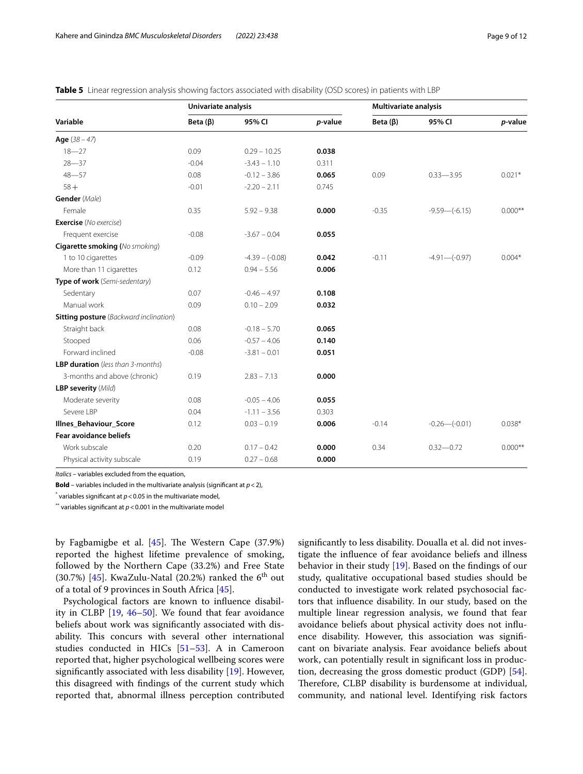|                                               | Univariate analysis |                   |         | <b>Multivariate analysis</b> |                   |           |
|-----------------------------------------------|---------------------|-------------------|---------|------------------------------|-------------------|-----------|
| Variable                                      | Beta $(\beta)$      | 95% CI            | p-value | Beta $(\beta)$               | 95% CI            | p-value   |
| <b>Age</b> $(38 - 47)$                        |                     |                   |         |                              |                   |           |
| $18 - 27$                                     | 0.09                | $0.29 - 10.25$    | 0.038   |                              |                   |           |
| $28 - 37$                                     | $-0.04$             | $-3.43 - 1.10$    | 0.311   |                              |                   |           |
| $48 - 57$                                     | 0.08                | $-0.12 - 3.86$    | 0.065   | 0.09                         | $0.33 - 3.95$     | $0.021*$  |
| $58+$                                         | $-0.01$             | $-2.20 - 2.11$    | 0.745   |                              |                   |           |
| Gender (Male)                                 |                     |                   |         |                              |                   |           |
| Female                                        | 0.35                | $5.92 - 9.38$     | 0.000   | $-0.35$                      | $-9.59 - (-6.15)$ | $0.000**$ |
| <b>Exercise</b> (No exercise)                 |                     |                   |         |                              |                   |           |
| Frequent exercise                             | $-0.08$             | $-3.67 - 0.04$    | 0.055   |                              |                   |           |
| <b>Cigarette smoking</b> (No smoking)         |                     |                   |         |                              |                   |           |
| 1 to 10 cigarettes                            | $-0.09$             | $-4.39 - (-0.08)$ | 0.042   | $-0.11$                      | $-4.91 - (-0.97)$ | $0.004*$  |
| More than 11 cigarettes                       | 0.12                | $0.94 - 5.56$     | 0.006   |                              |                   |           |
| Type of work (Semi-sedentary)                 |                     |                   |         |                              |                   |           |
| Sedentary                                     | 0.07                | $-0.46 - 4.97$    | 0.108   |                              |                   |           |
| Manual work                                   | 0.09                | $0.10 - 2.09$     | 0.032   |                              |                   |           |
| <b>Sitting posture</b> (Backward inclination) |                     |                   |         |                              |                   |           |
| Straight back                                 | 0.08                | $-0.18 - 5.70$    | 0.065   |                              |                   |           |
| Stooped                                       | 0.06                | $-0.57 - 4.06$    | 0.140   |                              |                   |           |
| Forward inclined                              | $-0.08$             | $-3.81 - 0.01$    | 0.051   |                              |                   |           |
| <b>LBP duration</b> (less than 3-months)      |                     |                   |         |                              |                   |           |
| 3-months and above (chronic)                  | 0.19                | $2.83 - 7.13$     | 0.000   |                              |                   |           |
| <b>LBP severity (Mild)</b>                    |                     |                   |         |                              |                   |           |
| Moderate severity                             | 0.08                | $-0.05 - 4.06$    | 0.055   |                              |                   |           |
| Severe LBP                                    | 0.04                | $-1.11 - 3.56$    | 0.303   |                              |                   |           |
| <b>Illnes Behaviour Score</b>                 | 0.12                | $0.03 - 0.19$     | 0.006   | $-0.14$                      | $-0.26 - (-0.01)$ | $0.038*$  |
| <b>Fear avoidance beliefs</b>                 |                     |                   |         |                              |                   |           |
| Work subscale                                 | 0.20                | $0.17 - 0.42$     | 0.000   | 0.34                         | $0.32 - 0.72$     | $0.000**$ |
| Physical activity subscale                    | 0.19                | $0.27 - 0.68$     | 0.000   |                              |                   |           |

<span id="page-8-0"></span>**Table 5** Linear regression analysis showing factors associated with disability (OSD scores) in patients with LBP

*Italics* – variables excluded from the equation,

**Bold** – variables included in the multivariate analysis (signifcant at *p*<2),

 $^*$  variables significant at  $p$  < 0.05 in the multivariate model,

\*\* variables significant at  $p < 0.001$  in the multivariate model

by Fagbamigbe et al.  $[45]$  $[45]$ . The Western Cape  $(37.9%)$ reported the highest lifetime prevalence of smoking, followed by the Northern Cape (33.2%) and Free State (30.7%) [[45\]](#page-11-26). KwaZulu-Natal (20.2%) ranked the  $6<sup>th</sup>$  out of a total of 9 provinces in South Africa [\[45](#page-11-26)].

Psychological factors are known to infuence disability in CLBP [[19,](#page-11-2) [46–](#page-11-27)[50](#page-11-28)]. We found that fear avoidance beliefs about work was signifcantly associated with disability. This concurs with several other international studies conducted in HICs [[51–](#page-11-29)[53](#page-11-30)]. A in Cameroon reported that, higher psychological wellbeing scores were signifcantly associated with less disability [\[19](#page-11-2)]. However, this disagreed with fndings of the current study which reported that, abnormal illness perception contributed signifcantly to less disability. Doualla et al. did not investigate the infuence of fear avoidance beliefs and illness behavior in their study [[19\]](#page-11-2). Based on the fndings of our study, qualitative occupational based studies should be conducted to investigate work related psychosocial factors that infuence disability. In our study, based on the multiple linear regression analysis, we found that fear avoidance beliefs about physical activity does not infuence disability. However, this association was signifcant on bivariate analysis. Fear avoidance beliefs about work, can potentially result in signifcant loss in production, decreasing the gross domestic product (GDP) [\[54](#page-11-31)]. Therefore, CLBP disability is burdensome at individual, community, and national level. Identifying risk factors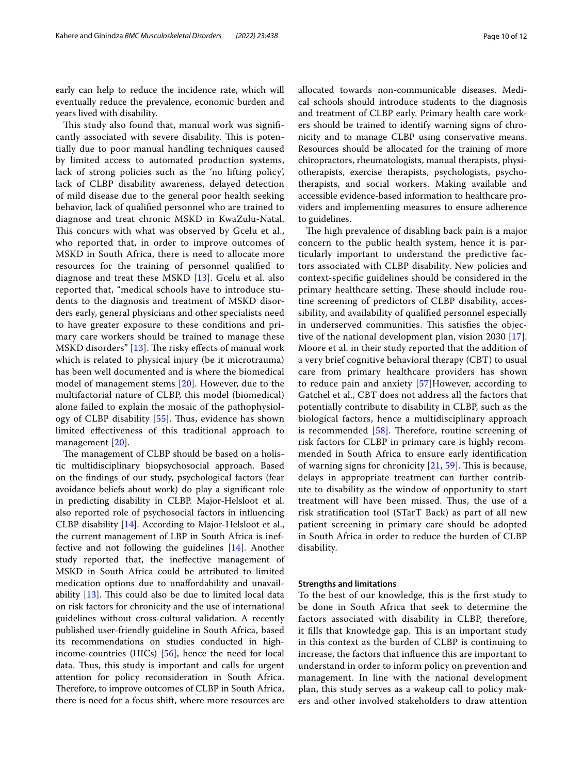early can help to reduce the incidence rate, which will eventually reduce the prevalence, economic burden and years lived with disability.

This study also found that, manual work was significantly associated with severe disability. This is potentially due to poor manual handling techniques caused by limited access to automated production systems, lack of strong policies such as the 'no lifting policy', lack of CLBP disability awareness, delayed detection of mild disease due to the general poor health seeking behavior, lack of qualifed personnel who are trained to diagnose and treat chronic MSKD in KwaZulu-Natal. This concurs with what was observed by Gcelu et al., who reported that, in order to improve outcomes of MSKD in South Africa, there is need to allocate more resources for the training of personnel qualifed to diagnose and treat these MSKD [\[13\]](#page-10-12). Gcelu et al. also reported that, "medical schools have to introduce students to the diagnosis and treatment of MSKD disorders early, general physicians and other specialists need to have greater exposure to these conditions and primary care workers should be trained to manage these MSKD disorders"  $[13]$ . The risky effects of manual work which is related to physical injury (be it microtrauma) has been well documented and is where the biomedical model of management stems [[20\]](#page-11-3). However, due to the multifactorial nature of CLBP, this model (biomedical) alone failed to explain the mosaic of the pathophysiol-ogy of CLBP disability [[55\]](#page-11-32). Thus, evidence has shown limited efectiveness of this traditional approach to management [[20](#page-11-3)].

The management of CLBP should be based on a holistic multidisciplinary biopsychosocial approach. Based on the fndings of our study, psychological factors (fear avoidance beliefs about work) do play a signifcant role in predicting disability in CLBP. Major-Helsloot et al. also reported role of psychosocial factors in infuencing CLBP disability [[14\]](#page-10-13). According to Major-Helsloot et al., the current management of LBP in South Africa is ineffective and not following the guidelines [\[14](#page-10-13)]. Another study reported that, the inefective management of MSKD in South Africa could be attributed to limited medication options due to unafordability and unavailability  $[13]$  $[13]$ . This could also be due to limited local data on risk factors for chronicity and the use of international guidelines without cross-cultural validation. A recently published user-friendly guideline in South Africa, based its recommendations on studies conducted in highincome-countries (HICs) [[56](#page-11-33)], hence the need for local data. Thus, this study is important and calls for urgent attention for policy reconsideration in South Africa. Therefore, to improve outcomes of CLBP in South Africa, there is need for a focus shift, where more resources are allocated towards non-communicable diseases. Medical schools should introduce students to the diagnosis and treatment of CLBP early. Primary health care workers should be trained to identify warning signs of chronicity and to manage CLBP using conservative means. Resources should be allocated for the training of more chiropractors, rheumatologists, manual therapists, physiotherapists, exercise therapists, psychologists, psychotherapists, and social workers. Making available and accessible evidence-based information to healthcare providers and implementing measures to ensure adherence to guidelines.

The high prevalence of disabling back pain is a major concern to the public health system, hence it is particularly important to understand the predictive factors associated with CLBP disability. New policies and context-specifc guidelines should be considered in the primary healthcare setting. These should include routine screening of predictors of CLBP disability, accessibility, and availability of qualifed personnel especially in underserved communities. This satisfies the objective of the national development plan, vision 2030 [[17](#page-11-0)]. Moore et al. in their study reported that the addition of a very brief cognitive behavioral therapy (CBT) to usual care from primary healthcare providers has shown to reduce pain and anxiety [\[57](#page-11-34)]However, according to Gatchel et al., CBT does not address all the factors that potentially contribute to disability in CLBP, such as the biological factors, hence a multidisciplinary approach is recommended  $[58]$  $[58]$ . Therefore, routine screening of risk factors for CLBP in primary care is highly recommended in South Africa to ensure early identifcation of warning signs for chronicity  $[21, 59]$  $[21, 59]$  $[21, 59]$  $[21, 59]$  $[21, 59]$ . This is because, delays in appropriate treatment can further contribute to disability as the window of opportunity to start treatment will have been missed. Thus, the use of a risk stratifcation tool (STarT Back) as part of all new patient screening in primary care should be adopted in South Africa in order to reduce the burden of CLBP disability.

#### **Strengths and limitations**

To the best of our knowledge, this is the frst study to be done in South Africa that seek to determine the factors associated with disability in CLBP, therefore, it fills that knowledge gap. This is an important study in this context as the burden of CLBP is continuing to increase, the factors that infuence this are important to understand in order to inform policy on prevention and management. In line with the national development plan, this study serves as a wakeup call to policy makers and other involved stakeholders to draw attention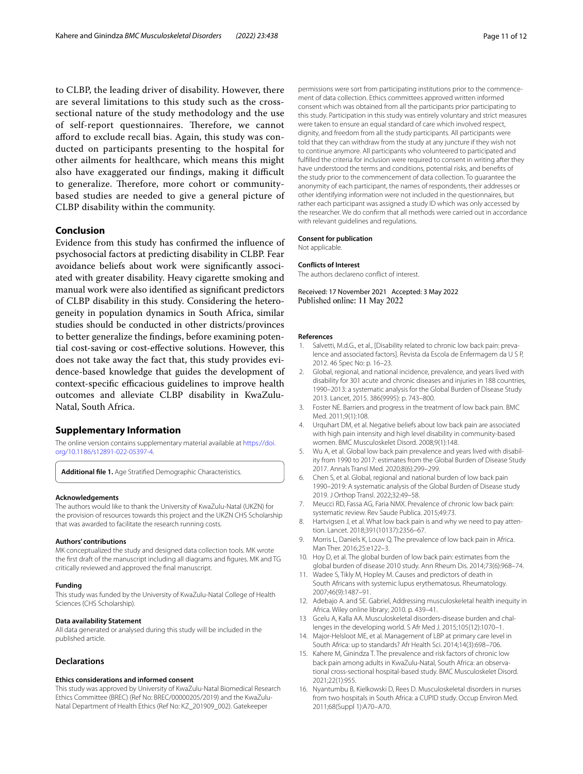to CLBP, the leading driver of disability. However, there are several limitations to this study such as the crosssectional nature of the study methodology and the use of self-report questionnaires. Therefore, we cannot aford to exclude recall bias. Again, this study was conducted on participants presenting to the hospital for other ailments for healthcare, which means this might also have exaggerated our findings, making it difficult to generalize. Therefore, more cohort or communitybased studies are needed to give a general picture of CLBP disability within the community.

#### **Conclusion**

Evidence from this study has confrmed the infuence of psychosocial factors at predicting disability in CLBP. Fear avoidance beliefs about work were signifcantly associated with greater disability. Heavy cigarette smoking and manual work were also identifed as signifcant predictors of CLBP disability in this study. Considering the heterogeneity in population dynamics in South Africa, similar studies should be conducted in other districts/provinces to better generalize the fndings, before examining potential cost-saving or cost-efective solutions. However, this does not take away the fact that, this study provides evidence-based knowledge that guides the development of context-specific efficacious guidelines to improve health outcomes and alleviate CLBP disability in KwaZulu-Natal, South Africa.

#### **Supplementary Information**

The online version contains supplementary material available at [https://doi.](https://doi.org/10.1186/s12891-022-05397-4) [org/10.1186/s12891-022-05397-4](https://doi.org/10.1186/s12891-022-05397-4).

<span id="page-10-16"></span>**Additional fle 1.** Age Stratifed Demographic Characteristics.

#### **Acknowledgements**

The authors would like to thank the University of KwaZulu-Natal (UKZN) for the provision of resources towards this project and the UKZN CHS Scholarship that was awarded to facilitate the research running costs.

#### **Authors' contributions**

MK conceptualized the study and designed data collection tools. MK wrote the frst draft of the manuscript including all diagrams and fgures. MK and TG critically reviewed and approved the fnal manuscript.

#### **Funding**

This study was funded by the University of KwaZulu-Natal College of Health Sciences (CHS Scholarship).

#### **Data availability Statement**

All data generated or analysed during this study will be included in the published article.

#### **Declarations**

#### **Ethics considerations and informed consent**

This study was approved by University of KwaZulu-Natal Biomedical Research Ethics Committee (BREC) (Ref No: BREC/00000205/2019) and the KwaZulu-Natal Department of Health Ethics (Ref No: KZ\_201909\_002). Gatekeeper

permissions were sort from participating institutions prior to the commencement of data collection. Ethics committees approved written informed consent which was obtained from all the participants prior participating to this study. Participation in this study was entirely voluntary and strict measures were taken to ensure an equal standard of care which involved respect, dignity, and freedom from all the study participants. All participants were told that they can withdraw from the study at any juncture if they wish not to continue anymore. All participants who volunteered to participated and fulflled the criteria for inclusion were required to consent in writing after they have understood the terms and conditions, potential risks, and benefts of the study prior to the commencement of data collection. To guarantee the anonymity of each participant, the names of respondents, their addresses or other identifying information were not included in the questionnaires, but rather each participant was assigned a study ID which was only accessed by the researcher. We do confrm that all methods were carried out in accordance with relevant guidelines and regulations.

#### **Consent for publication**

Not applicable.

#### **Conflicts of Interest**

The authors declareno confict of interest.

Received: 17 November 2021 Accepted: 3 May 2022 Published online: 11 May 2022

#### **References**

- <span id="page-10-0"></span>Salvetti, M.d.G., et al., [Disability related to chronic low back pain: prevalence and associated factors]. Revista da Escola de Enfermagem da U S P, 2012. 46 Spec No: p. 16–23.
- <span id="page-10-1"></span>2. Global, regional, and national incidence, prevalence, and years lived with disability for 301 acute and chronic diseases and injuries in 188 countries, 1990–2013: a systematic analysis for the Global Burden of Disease Study 2013. Lancet, 2015. 386(9995): p. 743–800.
- <span id="page-10-2"></span>3. Foster NE. Barriers and progress in the treatment of low back pain. BMC Med. 2011;9(1):108.
- <span id="page-10-3"></span>4. Urquhart DM, et al. Negative beliefs about low back pain are associated with high pain intensity and high level disability in community-based women. BMC Musculoskelet Disord. 2008;9(1):148.
- <span id="page-10-4"></span>5. Wu A, et al. Global low back pain prevalence and years lived with disability from 1990 to 2017: estimates from the Global Burden of Disease Study 2017. Annals Transl Med. 2020;8(6):299–299.
- <span id="page-10-5"></span>6. Chen S, et al. Global, regional and national burden of low back pain 1990–2019: A systematic analysis of the Global Burden of Disease study 2019. J Orthop Transl. 2022;32:49–58.
- <span id="page-10-6"></span>7. Meucci RD, Fassa AG, Faria NMX. Prevalence of chronic low back pain: systematic review. Rev Saude Publica. 2015;49:73.
- <span id="page-10-7"></span>8. Hartvigsen J, et al. What low back pain is and why we need to pay attention. Lancet. 2018;391(10137):2356–67.
- <span id="page-10-8"></span>9. Morris L, Daniels K, Louw Q. The prevalence of low back pain in Africa. Man Ther. 2016;25:e122–3.
- <span id="page-10-9"></span>10. Hoy D, et al. The global burden of low back pain: estimates from the global burden of disease 2010 study. Ann Rheum Dis. 2014;73(6):968–74.
- <span id="page-10-10"></span>11. Wadee S, Tikly M, Hopley M. Causes and predictors of death in South Africans with systemic lupus erythematosus. Rheumatology. 2007;46(9):1487–91.
- <span id="page-10-11"></span>12. Adebajo A. and SE. Gabriel, Addressing musculoskeletal health inequity in Africa. Wiley online library; 2010. p. 439–41.
- <span id="page-10-12"></span>13 Gcelu A, Kalla AA. Musculoskeletal disorders-disease burden and challenges in the developing world. S Afr Med J. 2015;105(12):1070–1.
- <span id="page-10-13"></span>14. Major-Helsloot ME, et al. Management of LBP at primary care level in South Africa: up to standards? Afr Health Sci. 2014;14(3):698–706.
- <span id="page-10-14"></span>15. Kahere M, Ginindza T. The prevalence and risk factors of chronic low back pain among adults in KwaZulu-Natal, South Africa: an observational cross-sectional hospital-based study. BMC Musculoskelet Disord. 2021;22(1):955.
- <span id="page-10-15"></span>16. Nyantumbu B, Kielkowski D, Rees D. Musculoskeletal disorders in nurses from two hospitals in South Africa: a CUPID study. Occup Environ Med. 2011;68(Suppl 1):A70–A70.